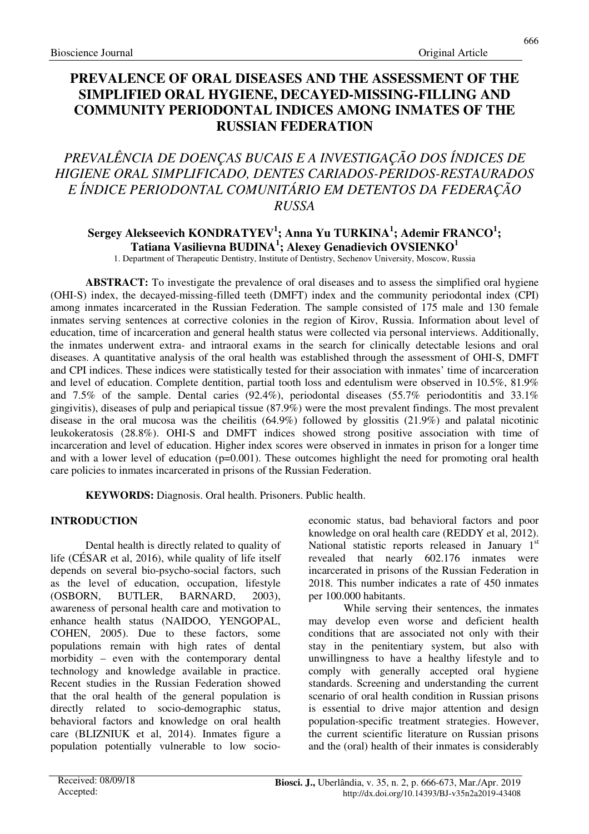# **PREVALENCE OF ORAL DISEASES AND THE ASSESSMENT OF THE SIMPLIFIED ORAL HYGIENE, DECAYED-MISSING-FILLING AND COMMUNITY PERIODONTAL INDICES AMONG INMATES OF THE RUSSIAN FEDERATION**

# *PREVALÊNCIA DE DOENÇAS BUCAIS E A INVESTIGAÇÃO DOS ÍNDICES DE HIGIENE ORAL SIMPLIFICADO, DENTES CARIADOS-PERIDOS-RESTAURADOS E ÍNDICE PERIODONTAL COMUNITÁRIO EM DETENTOS DA FEDERAÇÃO RUSSA*

# **Sergey Alekseevich KONDRATYEV<sup>1</sup> ; Anna Yu TURKINA<sup>1</sup> ; Ademir FRANCO<sup>1</sup> ; Tatiana Vasilievna BUDINA<sup>1</sup> ; Alexey Genadievich OVSIENKO<sup>1</sup>**

1. Department of Therapeutic Dentistry, Institute of Dentistry, Sechenov University, Moscow, Russia

**ABSTRACT:** To investigate the prevalence of oral diseases and to assess the simplified oral hygiene (OHI-S) index, the decayed-missing-filled teeth (DMFT) index and the community periodontal index (CPI) among inmates incarcerated in the Russian Federation. The sample consisted of 175 male and 130 female inmates serving sentences at corrective colonies in the region of Kirov, Russia. Information about level of education, time of incarceration and general health status were collected via personal interviews. Additionally, the inmates underwent extra- and intraoral exams in the search for clinically detectable lesions and oral diseases. A quantitative analysis of the oral health was established through the assessment of OHI-S, DMFT and CPI indices. These indices were statistically tested for their association with inmates' time of incarceration and level of education. Complete dentition, partial tooth loss and edentulism were observed in 10.5%, 81.9% and  $7.5\%$  of the sample. Dental caries (92.4%), periodontal diseases (55.7% periodontitis and 33.1% gingivitis), diseases of pulp and periapical tissue (87.9%) were the most prevalent findings. The most prevalent disease in the oral mucosa was the cheilitis (64.9%) followed by glossitis (21.9%) and palatal nicotinic leukokeratosis (28.8%). OHI-S and DMFT indices showed strong positive association with time of incarceration and level of education. Higher index scores were observed in inmates in prison for a longer time and with a lower level of education  $(p=0.001)$ . These outcomes highlight the need for promoting oral health care policies to inmates incarcerated in prisons of the Russian Federation.

**KEYWORDS:** Diagnosis. Oral health. Prisoners. Public health.

# **INTRODUCTION**

Dental health is directly related to quality of life (CÉSAR et al, 2016), while quality of life itself depends on several bio-psycho-social factors, such as the level of education, occupation, lifestyle (OSBORN, BUTLER, BARNARD, 2003), awareness of personal health care and motivation to enhance health status (NAIDOO, YENGOPAL, COHEN, 2005). Due to these factors, some populations remain with high rates of dental morbidity – even with the contemporary dental technology and knowledge available in practice. Recent studies in the Russian Federation showed that the oral health of the general population is directly related to socio-demographic status, behavioral factors and knowledge on oral health care (BLIZNIUK et al, 2014). Inmates figure a population potentially vulnerable to low socioeconomic status, bad behavioral factors and poor knowledge on oral health care (REDDY et al, 2012). National statistic reports released in January 1st revealed that nearly 602.176 inmates were incarcerated in prisons of the Russian Federation in 2018. This number indicates a rate of 450 inmates per 100.000 habitants.

While serving their sentences, the inmates may develop even worse and deficient health conditions that are associated not only with their stay in the penitentiary system, but also with unwillingness to have a healthy lifestyle and to comply with generally accepted oral hygiene standards. Screening and understanding the current scenario of oral health condition in Russian prisons is essential to drive major attention and design population-specific treatment strategies. However, the current scientific literature on Russian prisons and the (oral) health of their inmates is considerably

666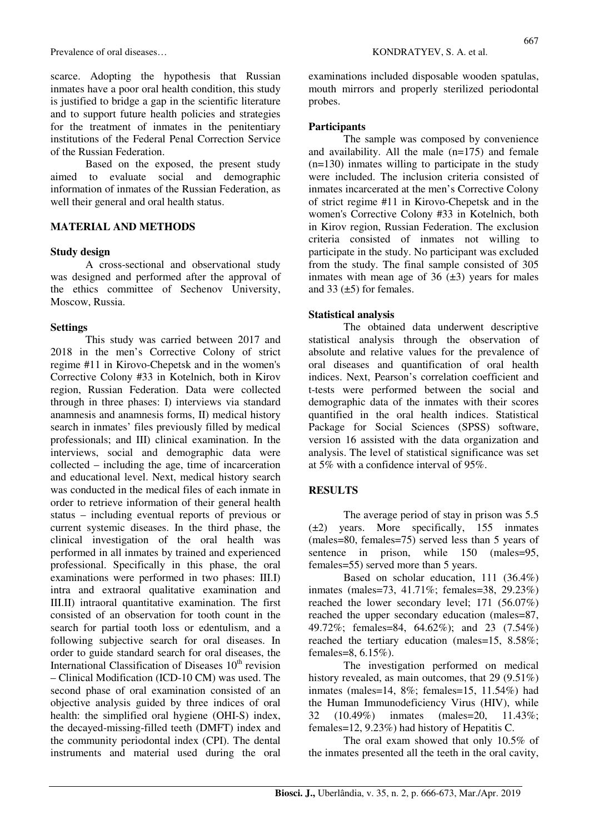scarce. Adopting the hypothesis that Russian inmates have a poor oral health condition, this study is justified to bridge a gap in the scientific literature and to support future health policies and strategies for the treatment of inmates in the penitentiary institutions of the Federal Penal Correction Service of the Russian Federation.

Based on the exposed, the present study aimed to evaluate social and demographic information of inmates of the Russian Federation, as well their general and oral health status.

## **MATERIAL AND METHODS**

#### **Study design**

A cross-sectional and observational study was designed and performed after the approval of the ethics committee of Sechenov University, Moscow, Russia.

#### **Settings**

This study was carried between 2017 and 2018 in the men's Corrective Colony of strict regime #11 in Kirovo-Chepetsk and in the women's Corrective Colony #33 in Kotelnich, both in Kirov region, Russian Federation. Data were collected through in three phases: I) interviews via standard anamnesis and anamnesis forms, II) medical history search in inmates' files previously filled by medical professionals; and III) clinical examination. In the interviews, social and demographic data were collected – including the age, time of incarceration and educational level. Next, medical history search was conducted in the medical files of each inmate in order to retrieve information of their general health status – including eventual reports of previous or current systemic diseases. In the third phase, the clinical investigation of the oral health was performed in all inmates by trained and experienced professional. Specifically in this phase, the oral examinations were performed in two phases: III.I) intra and extraoral qualitative examination and III.II) intraoral quantitative examination. The first consisted of an observation for tooth count in the search for partial tooth loss or edentulism, and a following subjective search for oral diseases. In order to guide standard search for oral diseases, the International Classification of Diseases  $10<sup>th</sup>$  revision – Clinical Modification (ICD-10 CM) was used. The second phase of oral examination consisted of an objective analysis guided by three indices of oral health: the simplified oral hygiene (OHI-S) index, the decayed-missing-filled teeth (DMFT) index and the community periodontal index (CPI). The dental instruments and material used during the oral examinations included disposable wooden spatulas, mouth mirrors and properly sterilized periodontal probes.

### **Participants**

The sample was composed by convenience and availability. All the male (n=175) and female (n=130) inmates willing to participate in the study were included. The inclusion criteria consisted of inmates incarcerated at the men's Corrective Colony of strict regime #11 in Kirovo-Chepetsk and in the women's Corrective Colony #33 in Kotelnich, both in Kirov region, Russian Federation. The exclusion criteria consisted of inmates not willing to participate in the study. No participant was excluded from the study. The final sample consisted of 305 inmates with mean age of 36  $(\pm 3)$  years for males and  $33 \left( \pm 5 \right)$  for females.

## **Statistical analysis**

The obtained data underwent descriptive statistical analysis through the observation of absolute and relative values for the prevalence of oral diseases and quantification of oral health indices. Next, Pearson's correlation coefficient and t-tests were performed between the social and demographic data of the inmates with their scores quantified in the oral health indices. Statistical Package for Social Sciences (SPSS) software, version 16 assisted with the data organization and analysis. The level of statistical significance was set at 5% with a confidence interval of 95%.

## **RESULTS**

The average period of stay in prison was 5.5 (±2) years. More specifically, 155 inmates (males=80, females=75) served less than 5 years of sentence in prison, while 150 (males=95, females=55) served more than 5 years.

Based on scholar education, 111 (36.4%) inmates (males=73, 41.71%; females=38, 29.23%) reached the lower secondary level; 171 (56.07%) reached the upper secondary education (males=87, 49.72%; females=84, 64.62%); and 23 (7.54%) reached the tertiary education (males=15, 8.58%; females=8, 6.15%).

The investigation performed on medical history revealed, as main outcomes, that 29 (9.51%) inmates (males=14, 8%; females=15, 11.54%) had the Human Immunodeficiency Virus (HIV), while 32 (10.49%) inmates (males=20, 11.43%; females=12, 9.23%) had history of Hepatitis C.

The oral exam showed that only 10.5% of the inmates presented all the teeth in the oral cavity,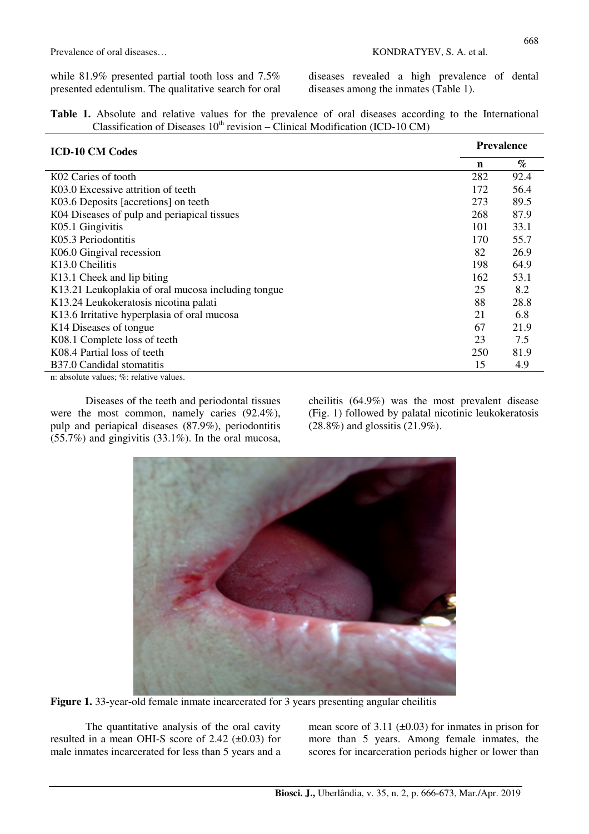while 81.9% presented partial tooth loss and 7.5% presented edentulism. The qualitative search for oral diseases revealed a high prevalence of dental diseases among the inmates (Table 1).

|  |  |  |  |                                                                                   |  |  |  | <b>Table 1.</b> Absolute and relative values for the prevalence of oral diseases according to the International |
|--|--|--|--|-----------------------------------------------------------------------------------|--|--|--|-----------------------------------------------------------------------------------------------------------------|
|  |  |  |  | Classification of Diseases $10^{th}$ revision – Clinical Modification (ICD-10 CM) |  |  |  |                                                                                                                 |

| <b>ICD-10 CM Codes</b>                             | <b>Prevalence</b> |      |  |  |
|----------------------------------------------------|-------------------|------|--|--|
|                                                    | n                 | $\%$ |  |  |
| K02 Caries of tooth                                | 282               | 92.4 |  |  |
| K03.0 Excessive attrition of teeth                 | 172               | 56.4 |  |  |
| K03.6 Deposits [accretions] on teeth               | 273               | 89.5 |  |  |
| K04 Diseases of pulp and periapical tissues        | 268               | 87.9 |  |  |
| K05.1 Gingivitis                                   | 101               | 33.1 |  |  |
| K05.3 Periodontitis                                | 170               | 55.7 |  |  |
| K06.0 Gingival recession                           | 82                | 26.9 |  |  |
| K <sub>13.0</sub> Cheilitis                        | 198               | 64.9 |  |  |
| K13.1 Cheek and lip biting                         | 162               | 53.1 |  |  |
| K13.21 Leukoplakia of oral mucosa including tongue | 25                | 8.2  |  |  |
| K13.24 Leukokeratosis nicotina palati              | 88                | 28.8 |  |  |
| K13.6 Irritative hyperplasia of oral mucosa        | 21                | 6.8  |  |  |
| K <sub>14</sub> Diseases of tongue                 | 67                | 21.9 |  |  |
| K08.1 Complete loss of teeth                       | 23                | 7.5  |  |  |
| K08.4 Partial loss of teeth                        | 250               | 81.9 |  |  |
| B37.0 Candidal stomatitis                          | 15                | 4.9  |  |  |
| n: absolute values; %: relative values.            |                   |      |  |  |

Diseases of the teeth and periodontal tissues were the most common, namely caries (92.4%), pulp and periapical diseases (87.9%), periodontitis  $(55.7%)$  and gingivitis (33.1%). In the oral mucosa, cheilitis (64.9%) was the most prevalent disease (Fig. 1) followed by palatal nicotinic leukokeratosis (28.8%) and glossitis (21.9%).

**Figure 1.** 33-year-old female inmate incarcerated for 3 years presenting angular cheilitis

The quantitative analysis of the oral cavity resulted in a mean OHI-S score of  $2.42$  ( $\pm 0.03$ ) for male inmates incarcerated for less than 5 years and a mean score of 3.11  $(\pm 0.03)$  for inmates in prison for more than 5 years. Among female inmates, the scores for incarceration periods higher or lower than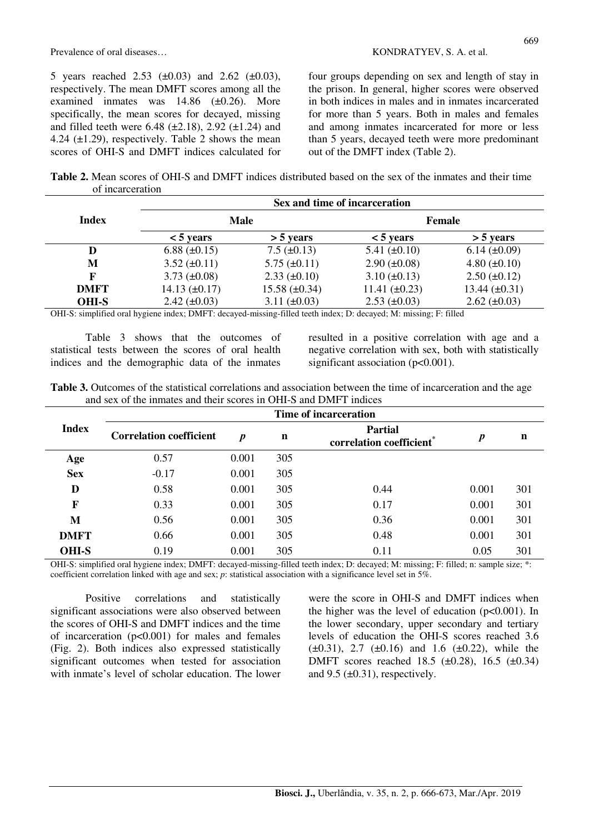5 years reached 2.53  $(\pm 0.03)$  and 2.62  $(\pm 0.03)$ , respectively. The mean DMFT scores among all the examined inmates was 14.86 (±0.26). More specifically, the mean scores for decayed, missing and filled teeth were  $6.48$  ( $\pm 2.18$ ),  $2.92$  ( $\pm 1.24$ ) and 4.24  $(\pm 1.29)$ , respectively. Table 2 shows the mean scores of OHI-S and DMFT indices calculated for four groups depending on sex and length of stay in the prison. In general, higher scores were observed in both indices in males and in inmates incarcerated for more than 5 years. Both in males and females and among inmates incarcerated for more or less than 5 years, decayed teeth were more predominant out of the DMFT index (Table 2).

**Table 2.** Mean scores of OHI-S and DMFT indices distributed based on the sex of the inmates and their time of incarceration

|              | Sex and time of incarceration |                     |                     |                     |  |  |  |  |
|--------------|-------------------------------|---------------------|---------------------|---------------------|--|--|--|--|
| <b>Index</b> |                               | Male                | Female              |                     |  |  |  |  |
|              | $<$ 5 years                   | $>$ 5 years         | $< 5$ years         | $>$ 5 years         |  |  |  |  |
| D            | 6.88 $(\pm 0.15)$             | $7.5 \ (\pm 0.13)$  | 5.41 $(\pm 0.10)$   | $6.14 \ (\pm 0.09)$ |  |  |  |  |
| M            | $3.52 \ (\pm 0.11)$           | $5.75 \ (\pm 0.11)$ | $2.90 \ (\pm 0.08)$ | $4.80 \ (\pm 0.10)$ |  |  |  |  |
| F            | 3.73 $(\pm 0.08)$             | $2.33 \ (\pm 0.10)$ | $3.10 \ (\pm 0.13)$ | $2.50 \ (\pm 0.12)$ |  |  |  |  |
| <b>DMFT</b>  | $14.13 \ (\pm 0.17)$          | 15.58 $(\pm 0.34)$  | 11.41 $(\pm 0.23)$  | 13.44 $(\pm 0.31)$  |  |  |  |  |
| <b>OHI-S</b> | $2.42 \ (\pm 0.03)$           | 3.11 $(\pm 0.03)$   | $2.53 \ (\pm 0.03)$ | $2.62 \ (\pm 0.03)$ |  |  |  |  |

OHI-S: simplified oral hygiene index; DMFT: decayed-missing-filled teeth index; D: decayed; M: missing; F: filled

Table 3 shows that the outcomes of statistical tests between the scores of oral health indices and the demographic data of the inmates resulted in a positive correlation with age and a negative correlation with sex, both with statistically significant association (p<0.001).

**Table 3.** Outcomes of the statistical correlations and association between the time of incarceration and the age and sex of the inmates and their scores in OHI-S and DMFT indices

|              | Time of incarceration          |                  |             |                                                        |       |     |  |  |  |
|--------------|--------------------------------|------------------|-------------|--------------------------------------------------------|-------|-----|--|--|--|
| <b>Index</b> | <b>Correlation coefficient</b> | $\boldsymbol{p}$ | $\mathbf n$ | <b>Partial</b><br>correlation coefficient <sup>®</sup> | p     | n   |  |  |  |
| Age          | 0.57                           | 0.001            | 305         |                                                        |       |     |  |  |  |
| <b>Sex</b>   | $-0.17$                        | 0.001            | 305         |                                                        |       |     |  |  |  |
| D            | 0.58                           | 0.001            | 305         | 0.44                                                   | 0.001 | 301 |  |  |  |
| F            | 0.33                           | 0.001            | 305         | 0.17                                                   | 0.001 | 301 |  |  |  |
| M            | 0.56                           | 0.001            | 305         | 0.36                                                   | 0.001 | 301 |  |  |  |
| <b>DMFT</b>  | 0.66                           | 0.001            | 305         | 0.48                                                   | 0.001 | 301 |  |  |  |
| <b>OHI-S</b> | 0.19                           | 0.001            | 305         | 0.11                                                   | 0.05  | 301 |  |  |  |

OHI-S: simplified oral hygiene index; DMFT: decayed-missing-filled teeth index; D: decayed; M: missing; F: filled; n: sample size; \*: coefficient correlation linked with age and sex; *p*: statistical association with a significance level set in 5%.

Positive correlations and statistically significant associations were also observed between the scores of OHI-S and DMFT indices and the time of incarceration (p<0.001) for males and females (Fig. 2). Both indices also expressed statistically significant outcomes when tested for association with inmate's level of scholar education. The lower were the score in OHI-S and DMFT indices when the higher was the level of education  $(p<0.001)$ . In the lower secondary, upper secondary and tertiary levels of education the OHI-S scores reached 3.6  $(\pm 0.31)$ , 2.7  $(\pm 0.16)$  and 1.6  $(\pm 0.22)$ , while the DMFT scores reached 18.5 (±0.28), 16.5 (±0.34) and  $9.5 \ (\pm 0.31)$ , respectively.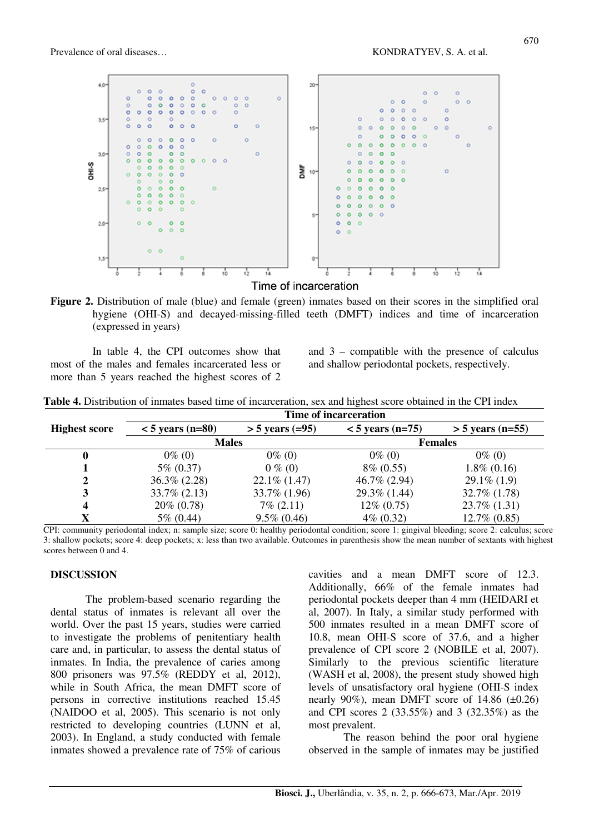

**Figure 2.** Distribution of male (blue) and female (green) inmates based on their scores in the simplified oral hygiene (OHI-S) and decayed-missing-filled teeth (DMFT) indices and time of incarceration (expressed in years)

In table 4, the CPI outcomes show that most of the males and females incarcerated less or more than 5 years reached the highest scores of 2

and 3 – compatible with the presence of calculus and shallow periodontal pockets, respectively.

**Table 4.** Distribution of inmates based time of incarceration, sex and highest score obtained in the CPI index

|                      | Time of incarceration |                   |                    |                    |  |  |  |  |  |
|----------------------|-----------------------|-------------------|--------------------|--------------------|--|--|--|--|--|
| <b>Highest score</b> | $<$ 5 years (n=80)    | $> 5$ years (=95) | $<$ 5 years (n=75) | $>$ 5 years (n=55) |  |  |  |  |  |
|                      | <b>Males</b>          |                   | <b>Females</b>     |                    |  |  |  |  |  |
|                      | $0\%$ (0)             | $0\%$ (0)         | $0\%$ (0)          | $0\%$ (0)          |  |  |  |  |  |
|                      | $5\% (0.37)$          | $0\%$ (0)         | $8\% (0.55)$       | $1.8\%$ (0.16)     |  |  |  |  |  |
| 2                    | $36.3\% (2.28)$       | $22.1\%$ (1.47)   | 46.7% (2.94)       | $29.1\%$ (1.9)     |  |  |  |  |  |
| 3                    | $33.7\% (2.13)$       | 33.7% (1.96)      | $29.3\%$ (1.44)    | $32.7\%$ $(1.78)$  |  |  |  |  |  |
| 4                    | $20\% (0.78)$         | $7\%$ (2.11)      | $12\% (0.75)$      | $23.7\%$ $(1.31)$  |  |  |  |  |  |
| X                    | $5\% (0.44)$          | $9.5\% (0.46)$    | $4\% (0.32)$       | $12.7\% (0.85)$    |  |  |  |  |  |

CPI: community periodontal index; n: sample size; score 0: healthy periodontal condition; score 1: gingival bleeding; score 2: calculus; score 3: shallow pockets; score 4: deep pockets; x: less than two available. Outcomes in parenthesis show the mean number of sextants with highest scores between 0 and 4.

#### **DISCUSSION**

The problem-based scenario regarding the dental status of inmates is relevant all over the world. Over the past 15 years, studies were carried to investigate the problems of penitentiary health care and, in particular, to assess the dental status of inmates. In India, the prevalence of caries among 800 prisoners was 97.5% (REDDY et al, 2012), while in South Africa, the mean DMFT score of persons in corrective institutions reached 15.45 (NAIDOO et al, 2005). This scenario is not only restricted to developing countries (LUNN et al, 2003). In England, a study conducted with female inmates showed a prevalence rate of 75% of carious

cavities and a mean DMFT score of 12.3. Additionally, 66% of the female inmates had periodontal pockets deeper than 4 mm (HEIDARI et al, 2007). In Italy, a similar study performed with 500 inmates resulted in a mean DMFT score of 10.8, mean OHI-S score of 37.6, and a higher prevalence of CPI score 2 (NOBILE et al, 2007). Similarly to the previous scientific literature (WASH et al, 2008), the present study showed high levels of unsatisfactory oral hygiene (OHI-S index nearly 90%), mean DMFT score of  $14.86$  ( $\pm$ 0.26) and CPI scores 2 (33.55%) and 3 (32.35%) as the most prevalent.

The reason behind the poor oral hygiene observed in the sample of inmates may be justified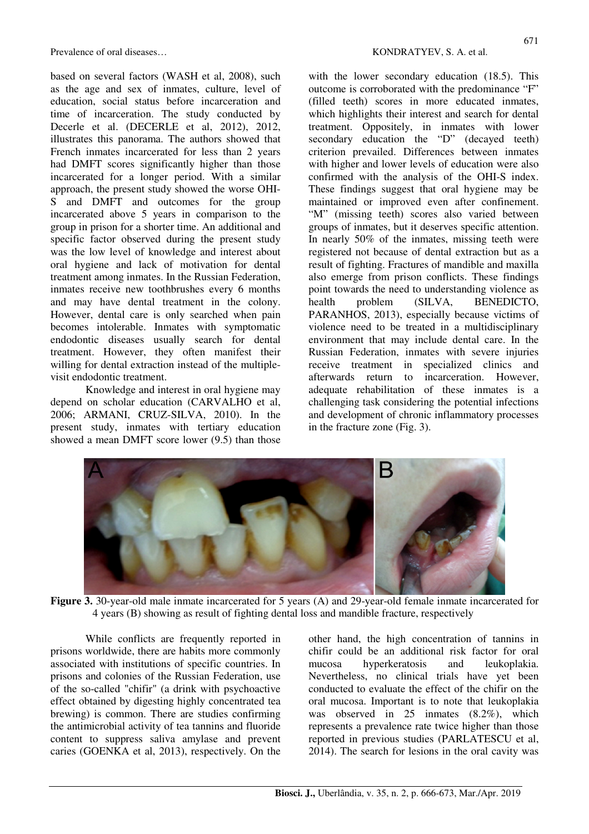Prevalence of oral diseases... Subsetsure of oral diseases... Subsetsure of oral diseases...

based on several factors (WASH et al, 2008), such as the age and sex of inmates, culture, level of education, social status before incarceration and time of incarceration. The study conducted by Decerle et al. (DECERLE et al. 2012), 2012, illustrates this panorama. The authors showed that French inmates incarcerated for less than 2 years had DMFT scores significantly higher than those incarcerated for a longer period. With a similar approach, the present study showed the worse OHI-S and DMFT and outcomes for the group incarcerated above 5 years in comparison to the group in prison for a shorter time. An additional and specific factor observed during the present study was the low level of knowledge and interest about oral hygiene and lack of motivation for dental treatment among inmates. In the Russian Federation, inmates receive new toothbrushes every 6 months and may have dental treatment in the colony. However, dental care is only searched when pain becomes intolerable. Inmates with symptomatic endodontic diseases usually search for dental treatment. However, they often manifest their willing for dental extraction instead of the multiplevisit endodontic treatment.

Knowledge and interest in oral hygiene may depend on scholar education (CARVALHO et al, 2006; ARMANI, CRUZ-SILVA, 2010). In the present study, inmates with tertiary education showed a mean DMFT score lower (9.5) than those

with the lower secondary education (18.5). This outcome is corroborated with the predominance "F" (filled teeth) scores in more educated inmates, which highlights their interest and search for dental treatment. Oppositely, in inmates with lower secondary education the "D" (decayed teeth) criterion prevailed. Differences between inmates with higher and lower levels of education were also confirmed with the analysis of the OHI-S index. These findings suggest that oral hygiene may be maintained or improved even after confinement. "M" (missing teeth) scores also varied between groups of inmates, but it deserves specific attention. In nearly 50% of the inmates, missing teeth were registered not because of dental extraction but as a result of fighting. Fractures of mandible and maxilla also emerge from prison conflicts. These findings point towards the need to understanding violence as health problem (SILVA, BENEDICTO, PARANHOS, 2013), especially because victims of violence need to be treated in a multidisciplinary environment that may include dental care. In the Russian Federation, inmates with severe injuries receive treatment in specialized clinics and afterwards return to incarceration. However, adequate rehabilitation of these inmates is a challenging task considering the potential infections and development of chronic inflammatory processes in the fracture zone (Fig. 3).



**Figure 3.** 30-year-old male inmate incarcerated for 5 years (A) and 29-year-old female inmate incarcerated for 4 years (B) showing as result of fighting dental loss and mandible fracture, respectively

While conflicts are frequently reported in prisons worldwide, there are habits more commonly associated with institutions of specific countries. In prisons and colonies of the Russian Federation, use of the so-called "chifir" (a drink with psychoactive effect obtained by digesting highly concentrated tea brewing) is common. There are studies confirming the antimicrobial activity of tea tannins and fluoride content to suppress saliva amylase and prevent caries (GOENKA et al, 2013), respectively. On the

other hand, the high concentration of tannins in chifir could be an additional risk factor for oral mucosa hyperkeratosis and leukoplakia. Nevertheless, no clinical trials have yet been conducted to evaluate the effect of the chifir on the oral mucosa. Important is to note that leukoplakia was observed in 25 inmates (8.2%), which represents a prevalence rate twice higher than those reported in previous studies (PARLATESCU et al, 2014). The search for lesions in the oral cavity was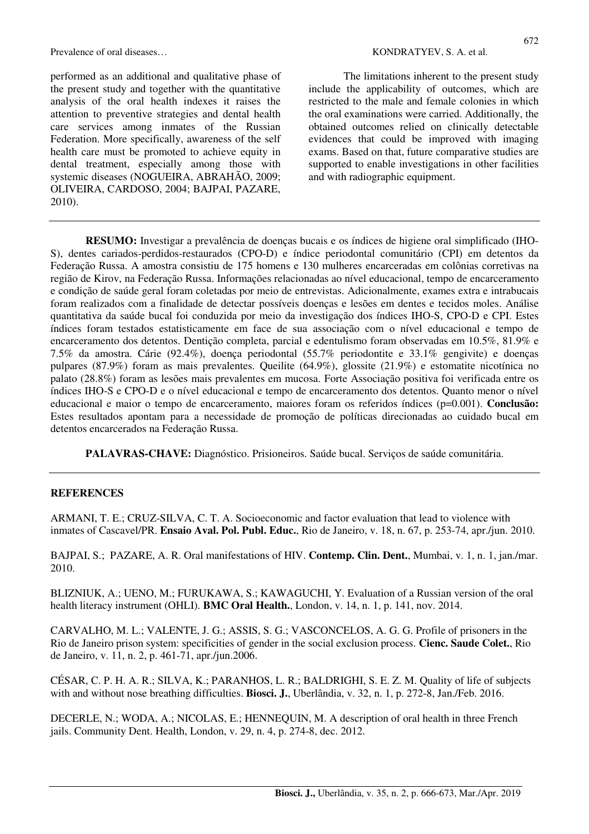Prevalence of oral diseases... The same of oral diseases in the set of the set of the set of the set of the set of the set of the set of the set of the set of the set of the set of the set of the set of the set of the set

performed as an additional and qualitative phase of the present study and together with the quantitative analysis of the oral health indexes it raises the attention to preventive strategies and dental health care services among inmates of the Russian Federation. More specifically, awareness of the self health care must be promoted to achieve equity in dental treatment, especially among those with systemic diseases (NOGUEIRA, ABRAHÃO, 2009; OLIVEIRA, CARDOSO, 2004; BAJPAI, PAZARE, 2010).

The limitations inherent to the present study include the applicability of outcomes, which are restricted to the male and female colonies in which the oral examinations were carried. Additionally, the obtained outcomes relied on clinically detectable evidences that could be improved with imaging exams. Based on that, future comparative studies are supported to enable investigations in other facilities and with radiographic equipment.

**RESUMO:** Investigar a prevalência de doenças bucais e os índices de higiene oral simplificado (IHO-S), dentes cariados-perdidos-restaurados (CPO-D) e índice periodontal comunitário (CPI) em detentos da Federação Russa. A amostra consistiu de 175 homens e 130 mulheres encarceradas em colônias corretivas na região de Kirov, na Federação Russa. Informações relacionadas ao nível educacional, tempo de encarceramento e condição de saúde geral foram coletadas por meio de entrevistas. Adicionalmente, exames extra e intrabucais foram realizados com a finalidade de detectar possíveis doenças e lesões em dentes e tecidos moles. Análise quantitativa da saúde bucal foi conduzida por meio da investigação dos índices IHO-S, CPO-D e CPI. Estes índices foram testados estatisticamente em face de sua associação com o nível educacional e tempo de encarceramento dos detentos. Dentição completa, parcial e edentulismo foram observadas em 10.5%, 81.9% e 7.5% da amostra. Cárie (92.4%), doença periodontal (55.7% periodontite e 33.1% gengivite) e doenças pulpares (87.9%) foram as mais prevalentes. Queilite (64.9%), glossite (21.9%) e estomatite nicotínica no palato (28.8%) foram as lesões mais prevalentes em mucosa. Forte Associação positiva foi verificada entre os índices IHO-S e CPO-D e o nível educacional e tempo de encarceramento dos detentos. Quanto menor o nível educacional e maior o tempo de encarceramento, maiores foram os referidos índices (p=0.001). **Conclusão:** Estes resultados apontam para a necessidade de promoção de políticas direcionadas ao cuidado bucal em detentos encarcerados na Federação Russa.

**PALAVRAS-CHAVE:** Diagnóstico. Prisioneiros. Saúde bucal. Serviços de saúde comunitária.

### **REFERENCES**

ARMANI, T. E.; CRUZ-SILVA, C. T. A. Socioeconomic and factor evaluation that lead to violence with inmates of Cascavel/PR. **Ensaio Aval. Pol. Publ. Educ.**, Rio de Janeiro, v. 18, n. 67, p. 253-74, apr./jun. 2010.

BAJPAI, S.; PAZARE, A. R. Oral manifestations of HIV. **Contemp. Clin. Dent.**, Mumbai, v. 1, n. 1, jan./mar. 2010.

BLIZNIUK, A.; UENO, M.; FURUKAWA, S.; KAWAGUCHI, Y. Evaluation of a Russian version of the oral health literacy instrument (OHLI). **BMC Oral Health.**, London, v. 14, n. 1, p. 141, nov. 2014.

CARVALHO, M. L.; VALENTE, J. G.; ASSIS, S. G.; VASCONCELOS, A. G. G. Profile of prisoners in the Rio de Janeiro prison system: specificities of gender in the social exclusion process. **Cienc. Saude Colet.**, Rio de Janeiro, v. 11, n. 2, p. 461-71, apr./jun.2006.

CÉSAR, C. P. H. A. R.; SILVA, K.; PARANHOS, L. R.; BALDRIGHI, S. E. Z. M. Quality of life of subjects with and without nose breathing difficulties. **Biosci. J.**, Uberlândia, v. 32, n. 1, p. 272-8, Jan./Feb. 2016.

DECERLE, N.; WODA, A.; NICOLAS, E.; HENNEQUIN, M. A description of oral health in three French jails. Community Dent. Health, London, v. 29, n. 4, p. 274-8, dec. 2012.